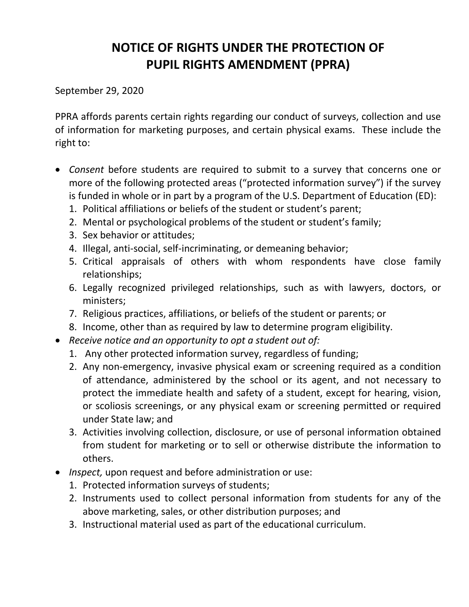## **NOTICE OF RIGHTS UNDER THE PROTECTION OF PUPIL RIGHTS AMENDMENT (PPRA)**

September 29, 2020

PPRA affords parents certain rights regarding our conduct of surveys, collection and use of information for marketing purposes, and certain physical exams. These include the right to:

- *Consent* before students are required to submit to a survey that concerns one or more of the following protected areas ("protected information survey") if the survey is funded in whole or in part by a program of the U.S. Department of Education (ED):
	- 1. Political affiliations or beliefs of the student or student's parent;
	- 2. Mental or psychological problems of the student or student's family;
	- 3. Sex behavior or attitudes;
	- 4. Illegal, anti-social, self-incriminating, or demeaning behavior;
	- 5. Critical appraisals of others with whom respondents have close family relationships;
	- 6. Legally recognized privileged relationships, such as with lawyers, doctors, or ministers;
	- 7. Religious practices, affiliations, or beliefs of the student or parents; or
	- 8. Income, other than as required by law to determine program eligibility.
- *Receive notice and an opportunity to opt a student out of:*
	- 1. Any other protected information survey, regardless of funding;
	- 2. Any non-emergency, invasive physical exam or screening required as a condition of attendance, administered by the school or its agent, and not necessary to protect the immediate health and safety of a student, except for hearing, vision, or scoliosis screenings, or any physical exam or screening permitted or required under State law; and
	- 3. Activities involving collection, disclosure, or use of personal information obtained from student for marketing or to sell or otherwise distribute the information to others.
- *Inspect,* upon request and before administration or use:
	- 1. Protected information surveys of students;
	- 2. Instruments used to collect personal information from students for any of the above marketing, sales, or other distribution purposes; and
	- 3. Instructional material used as part of the educational curriculum.